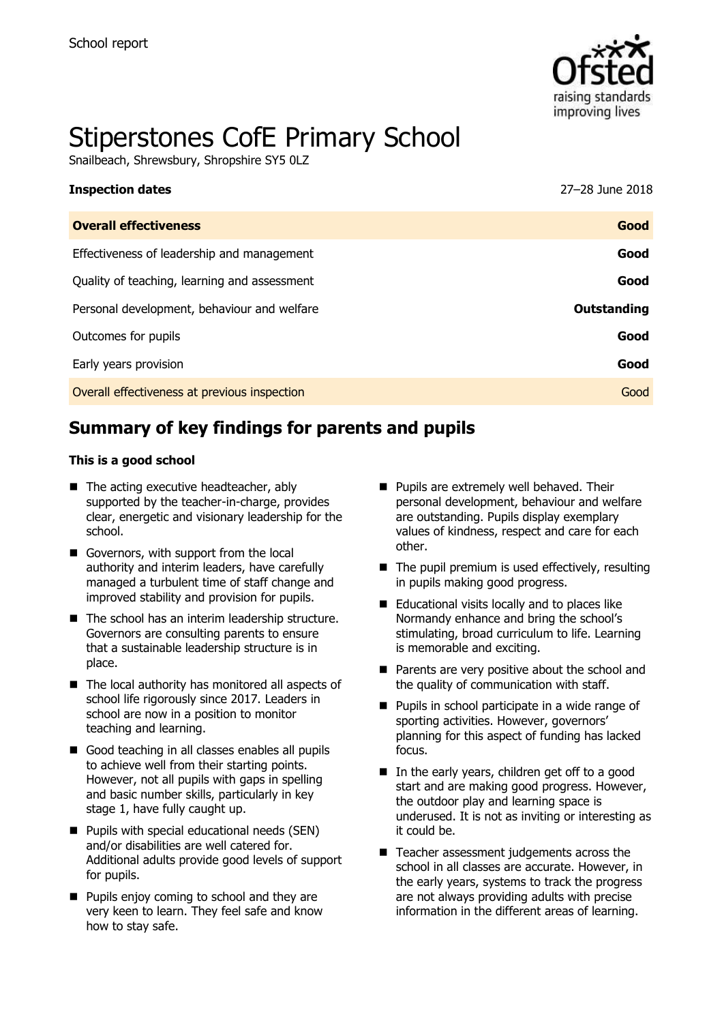

# Stiperstones CofE Primary School

Snailbeach, Shrewsbury, Shropshire SY5 0LZ

| <b>Inspection dates</b>                      | 27-28 June 2018 |
|----------------------------------------------|-----------------|
| <b>Overall effectiveness</b>                 | Good            |
| Effectiveness of leadership and management   | Good            |
| Quality of teaching, learning and assessment | Good            |
| Personal development, behaviour and welfare  | Outstanding     |
| Outcomes for pupils                          | Good            |
| Early years provision                        | Good            |
| Overall effectiveness at previous inspection | Good            |
|                                              |                 |

# **Summary of key findings for parents and pupils**

#### **This is a good school**

- The acting executive headteacher, ably supported by the teacher-in-charge, provides clear, energetic and visionary leadership for the school.
- Governors, with support from the local authority and interim leaders, have carefully managed a turbulent time of staff change and improved stability and provision for pupils.
- The school has an interim leadership structure. Governors are consulting parents to ensure that a sustainable leadership structure is in place.
- The local authority has monitored all aspects of school life rigorously since 2017. Leaders in school are now in a position to monitor teaching and learning.
- Good teaching in all classes enables all pupils to achieve well from their starting points. However, not all pupils with gaps in spelling and basic number skills, particularly in key stage 1, have fully caught up.
- **Pupils with special educational needs (SEN)** and/or disabilities are well catered for. Additional adults provide good levels of support for pupils.
- **Pupils enjoy coming to school and they are** very keen to learn. They feel safe and know how to stay safe.
- **Pupils are extremely well behaved. Their** personal development, behaviour and welfare are outstanding. Pupils display exemplary values of kindness, respect and care for each other.
- $\blacksquare$  The pupil premium is used effectively, resulting in pupils making good progress.
- Educational visits locally and to places like Normandy enhance and bring the school's stimulating, broad curriculum to life. Learning is memorable and exciting.
- **Parents are very positive about the school and** the quality of communication with staff.
- **Pupils in school participate in a wide range of** sporting activities. However, governors' planning for this aspect of funding has lacked focus.
- In the early years, children get off to a good start and are making good progress. However, the outdoor play and learning space is underused. It is not as inviting or interesting as it could be.
- Teacher assessment judgements across the school in all classes are accurate. However, in the early years, systems to track the progress are not always providing adults with precise information in the different areas of learning.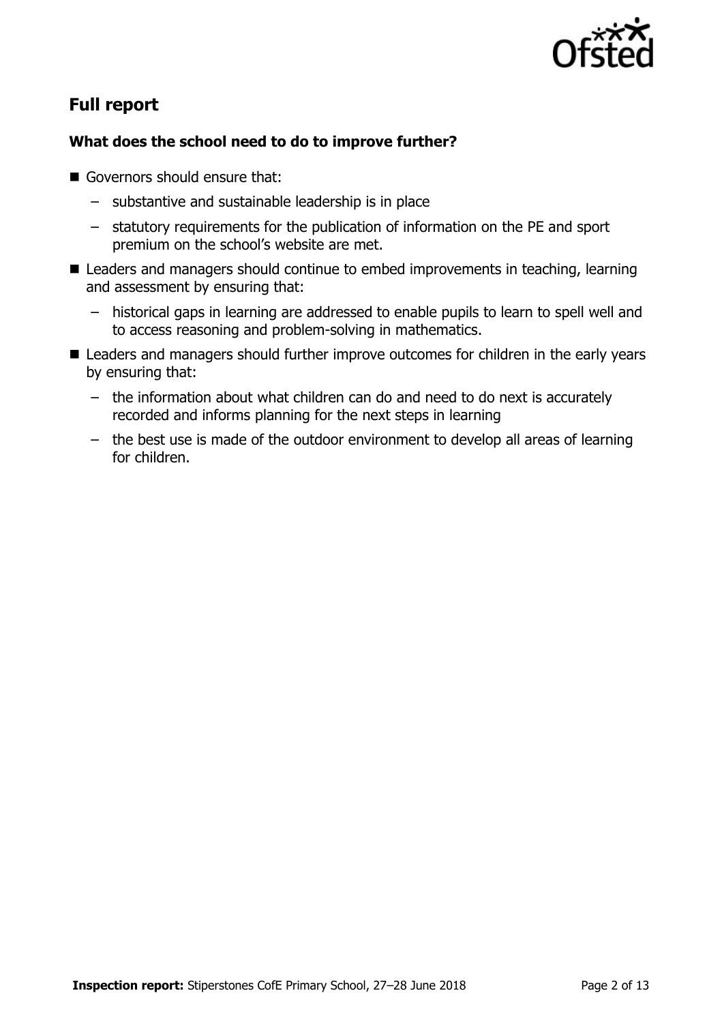

# **Full report**

### **What does the school need to do to improve further?**

- Governors should ensure that:
	- substantive and sustainable leadership is in place
	- statutory requirements for the publication of information on the PE and sport premium on the school's website are met.
- Leaders and managers should continue to embed improvements in teaching, learning and assessment by ensuring that:
	- historical gaps in learning are addressed to enable pupils to learn to spell well and to access reasoning and problem-solving in mathematics.
- Leaders and managers should further improve outcomes for children in the early years by ensuring that:
	- the information about what children can do and need to do next is accurately recorded and informs planning for the next steps in learning
	- the best use is made of the outdoor environment to develop all areas of learning for children.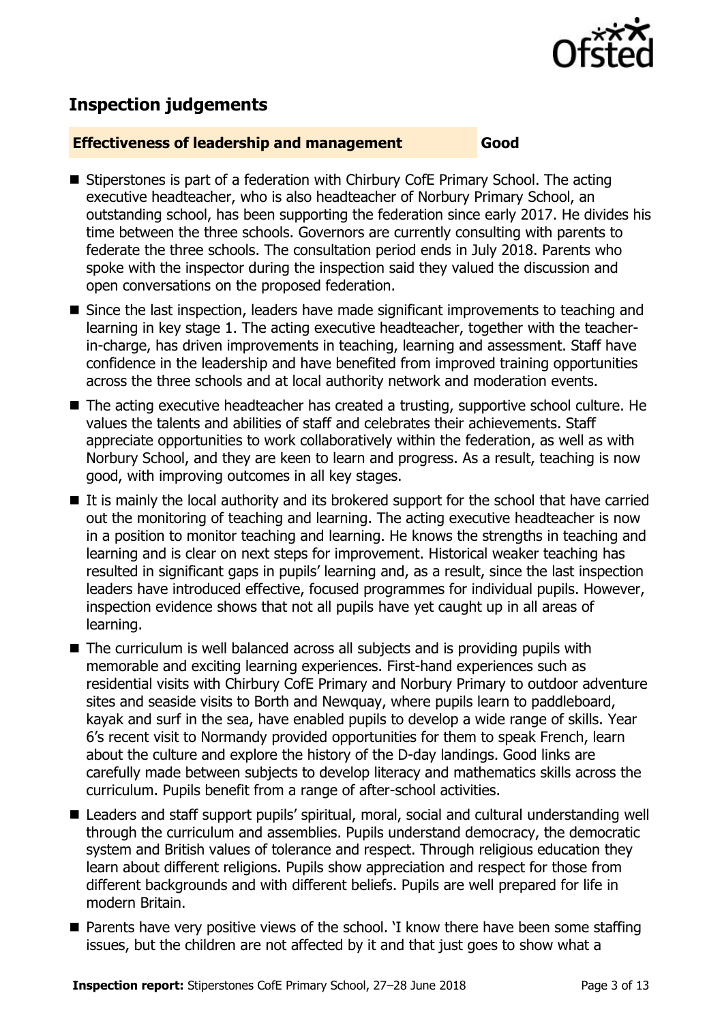

# **Inspection judgements**

#### **Effectiveness of leadership and management Good**

- Stiperstones is part of a federation with Chirbury CofE Primary School. The acting executive headteacher, who is also headteacher of Norbury Primary School, an outstanding school, has been supporting the federation since early 2017. He divides his time between the three schools. Governors are currently consulting with parents to federate the three schools. The consultation period ends in July 2018. Parents who spoke with the inspector during the inspection said they valued the discussion and open conversations on the proposed federation.
- Since the last inspection, leaders have made significant improvements to teaching and learning in key stage 1. The acting executive headteacher, together with the teacherin-charge, has driven improvements in teaching, learning and assessment. Staff have confidence in the leadership and have benefited from improved training opportunities across the three schools and at local authority network and moderation events.
- The acting executive headteacher has created a trusting, supportive school culture. He values the talents and abilities of staff and celebrates their achievements. Staff appreciate opportunities to work collaboratively within the federation, as well as with Norbury School, and they are keen to learn and progress. As a result, teaching is now good, with improving outcomes in all key stages.
- $\blacksquare$  It is mainly the local authority and its brokered support for the school that have carried out the monitoring of teaching and learning. The acting executive headteacher is now in a position to monitor teaching and learning. He knows the strengths in teaching and learning and is clear on next steps for improvement. Historical weaker teaching has resulted in significant gaps in pupils' learning and, as a result, since the last inspection leaders have introduced effective, focused programmes for individual pupils. However, inspection evidence shows that not all pupils have yet caught up in all areas of learning.
- The curriculum is well balanced across all subjects and is providing pupils with memorable and exciting learning experiences. First-hand experiences such as residential visits with Chirbury CofE Primary and Norbury Primary to outdoor adventure sites and seaside visits to Borth and Newquay, where pupils learn to paddleboard, kayak and surf in the sea, have enabled pupils to develop a wide range of skills. Year 6's recent visit to Normandy provided opportunities for them to speak French, learn about the culture and explore the history of the D-day landings. Good links are carefully made between subjects to develop literacy and mathematics skills across the curriculum. Pupils benefit from a range of after-school activities.
- Leaders and staff support pupils' spiritual, moral, social and cultural understanding well through the curriculum and assemblies. Pupils understand democracy, the democratic system and British values of tolerance and respect. Through religious education they learn about different religions. Pupils show appreciation and respect for those from different backgrounds and with different beliefs. Pupils are well prepared for life in modern Britain.
- $\blacksquare$  Parents have very positive views of the school. 'I know there have been some staffing issues, but the children are not affected by it and that just goes to show what a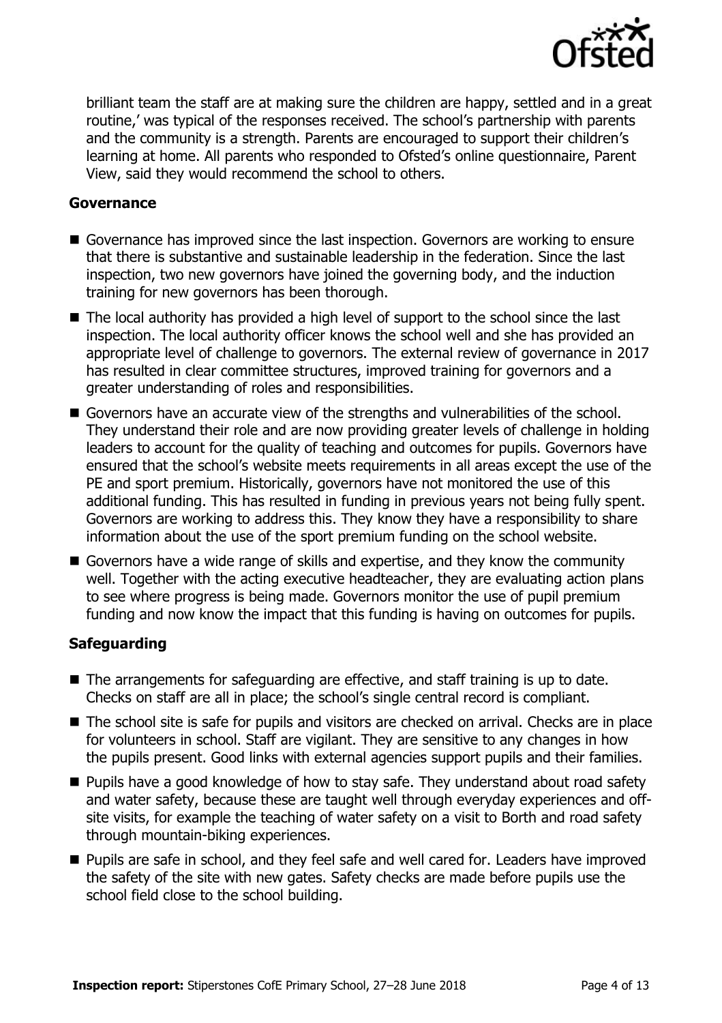

brilliant team the staff are at making sure the children are happy, settled and in a great routine,' was typical of the responses received. The school's partnership with parents and the community is a strength. Parents are encouraged to support their children's learning at home. All parents who responded to Ofsted's online questionnaire, Parent View, said they would recommend the school to others.

#### **Governance**

- Governance has improved since the last inspection. Governors are working to ensure that there is substantive and sustainable leadership in the federation. Since the last inspection, two new governors have joined the governing body, and the induction training for new governors has been thorough.
- The local authority has provided a high level of support to the school since the last inspection. The local authority officer knows the school well and she has provided an appropriate level of challenge to governors. The external review of governance in 2017 has resulted in clear committee structures, improved training for governors and a greater understanding of roles and responsibilities.
- Governors have an accurate view of the strengths and vulnerabilities of the school. They understand their role and are now providing greater levels of challenge in holding leaders to account for the quality of teaching and outcomes for pupils. Governors have ensured that the school's website meets requirements in all areas except the use of the PE and sport premium. Historically, governors have not monitored the use of this additional funding. This has resulted in funding in previous years not being fully spent. Governors are working to address this. They know they have a responsibility to share information about the use of the sport premium funding on the school website.
- Governors have a wide range of skills and expertise, and they know the community well. Together with the acting executive headteacher, they are evaluating action plans to see where progress is being made. Governors monitor the use of pupil premium funding and now know the impact that this funding is having on outcomes for pupils.

#### **Safeguarding**

- The arrangements for safeguarding are effective, and staff training is up to date. Checks on staff are all in place; the school's single central record is compliant.
- The school site is safe for pupils and visitors are checked on arrival. Checks are in place for volunteers in school. Staff are vigilant. They are sensitive to any changes in how the pupils present. Good links with external agencies support pupils and their families.
- Pupils have a good knowledge of how to stay safe. They understand about road safety and water safety, because these are taught well through everyday experiences and offsite visits, for example the teaching of water safety on a visit to Borth and road safety through mountain-biking experiences.
- **Pupils are safe in school, and they feel safe and well cared for. Leaders have improved** the safety of the site with new gates. Safety checks are made before pupils use the school field close to the school building.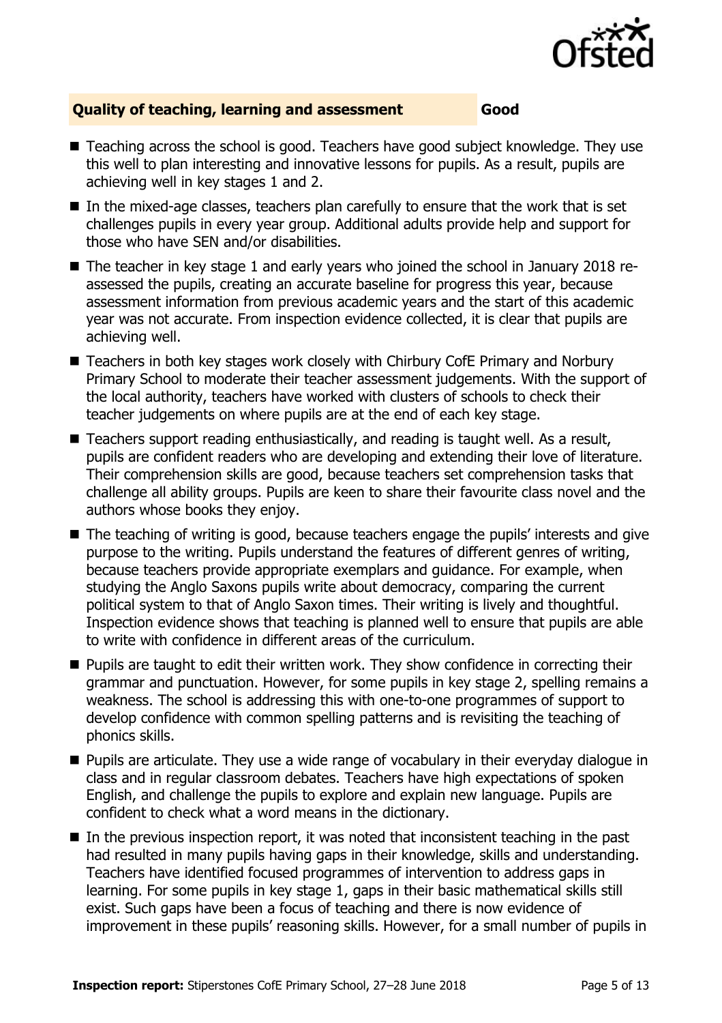

### **Quality of teaching, learning and assessment Good**

- Teaching across the school is good. Teachers have good subject knowledge. They use this well to plan interesting and innovative lessons for pupils. As a result, pupils are achieving well in key stages 1 and 2.
- $\blacksquare$  In the mixed-age classes, teachers plan carefully to ensure that the work that is set challenges pupils in every year group. Additional adults provide help and support for those who have SEN and/or disabilities.
- The teacher in key stage 1 and early years who joined the school in January 2018 reassessed the pupils, creating an accurate baseline for progress this year, because assessment information from previous academic years and the start of this academic year was not accurate. From inspection evidence collected, it is clear that pupils are achieving well.
- Teachers in both key stages work closely with Chirbury CofE Primary and Norbury Primary School to moderate their teacher assessment judgements. With the support of the local authority, teachers have worked with clusters of schools to check their teacher judgements on where pupils are at the end of each key stage.
- Teachers support reading enthusiastically, and reading is taught well. As a result, pupils are confident readers who are developing and extending their love of literature. Their comprehension skills are good, because teachers set comprehension tasks that challenge all ability groups. Pupils are keen to share their favourite class novel and the authors whose books they enjoy.
- The teaching of writing is good, because teachers engage the pupils' interests and give purpose to the writing. Pupils understand the features of different genres of writing, because teachers provide appropriate exemplars and guidance. For example, when studying the Anglo Saxons pupils write about democracy, comparing the current political system to that of Anglo Saxon times. Their writing is lively and thoughtful. Inspection evidence shows that teaching is planned well to ensure that pupils are able to write with confidence in different areas of the curriculum.
- **Pupils are taught to edit their written work. They show confidence in correcting their** grammar and punctuation. However, for some pupils in key stage 2, spelling remains a weakness. The school is addressing this with one-to-one programmes of support to develop confidence with common spelling patterns and is revisiting the teaching of phonics skills.
- **Pupils are articulate. They use a wide range of vocabulary in their everyday dialogue in** class and in regular classroom debates. Teachers have high expectations of spoken English, and challenge the pupils to explore and explain new language. Pupils are confident to check what a word means in the dictionary.
- $\blacksquare$  In the previous inspection report, it was noted that inconsistent teaching in the past had resulted in many pupils having gaps in their knowledge, skills and understanding. Teachers have identified focused programmes of intervention to address gaps in learning. For some pupils in key stage 1, gaps in their basic mathematical skills still exist. Such gaps have been a focus of teaching and there is now evidence of improvement in these pupils' reasoning skills. However, for a small number of pupils in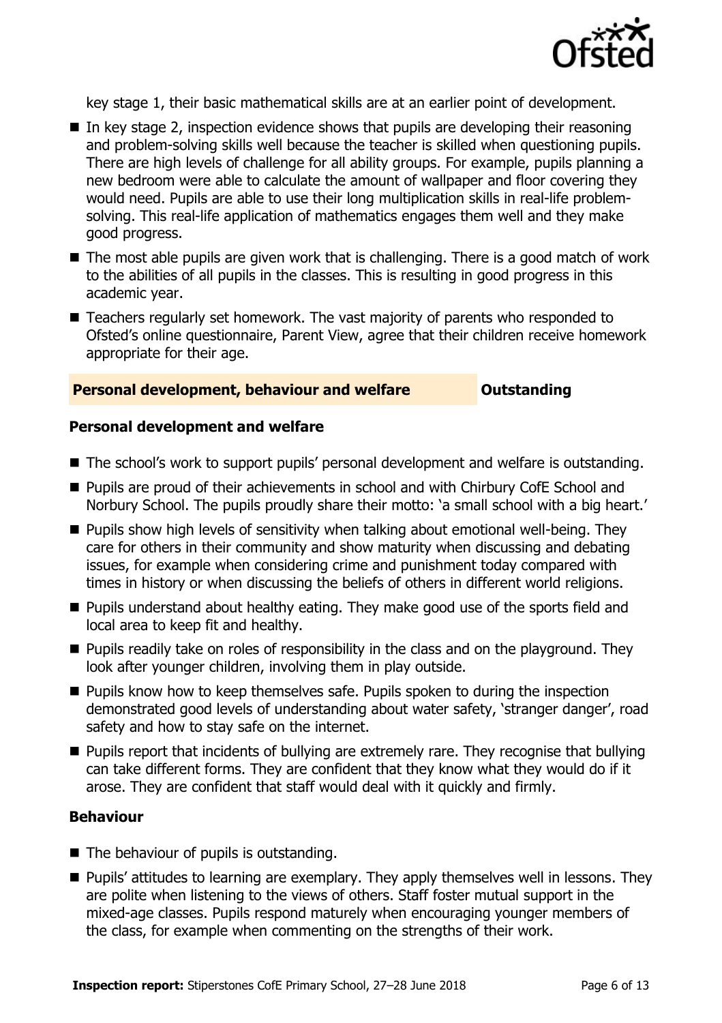

key stage 1, their basic mathematical skills are at an earlier point of development.

- $\blacksquare$  In key stage 2, inspection evidence shows that pupils are developing their reasoning and problem-solving skills well because the teacher is skilled when questioning pupils. There are high levels of challenge for all ability groups. For example, pupils planning a new bedroom were able to calculate the amount of wallpaper and floor covering they would need. Pupils are able to use their long multiplication skills in real-life problemsolving. This real-life application of mathematics engages them well and they make good progress.
- The most able pupils are given work that is challenging. There is a good match of work to the abilities of all pupils in the classes. This is resulting in good progress in this academic year.
- Teachers regularly set homework. The vast majority of parents who responded to Ofsted's online questionnaire, Parent View, agree that their children receive homework appropriate for their age.

### **Personal development, behaviour and welfare <b>COUTS** Outstanding

#### **Personal development and welfare**

- The school's work to support pupils' personal development and welfare is outstanding.
- Pupils are proud of their achievements in school and with Chirbury CofE School and Norbury School. The pupils proudly share their motto: 'a small school with a big heart.'
- $\blacksquare$  Pupils show high levels of sensitivity when talking about emotional well-being. They care for others in their community and show maturity when discussing and debating issues, for example when considering crime and punishment today compared with times in history or when discussing the beliefs of others in different world religions.
- **Pupils understand about healthy eating. They make good use of the sports field and** local area to keep fit and healthy.
- **Pupils readily take on roles of responsibility in the class and on the playground. They** look after younger children, involving them in play outside.
- **Pupils know how to keep themselves safe. Pupils spoken to during the inspection** demonstrated good levels of understanding about water safety, 'stranger danger', road safety and how to stay safe on the internet.
- **Pupils report that incidents of bullying are extremely rare. They recognise that bullying** can take different forms. They are confident that they know what they would do if it arose. They are confident that staff would deal with it quickly and firmly.

#### **Behaviour**

- The behaviour of pupils is outstanding.
- **Pupils' attitudes to learning are exemplary. They apply themselves well in lessons. They** are polite when listening to the views of others. Staff foster mutual support in the mixed-age classes. Pupils respond maturely when encouraging younger members of the class, for example when commenting on the strengths of their work.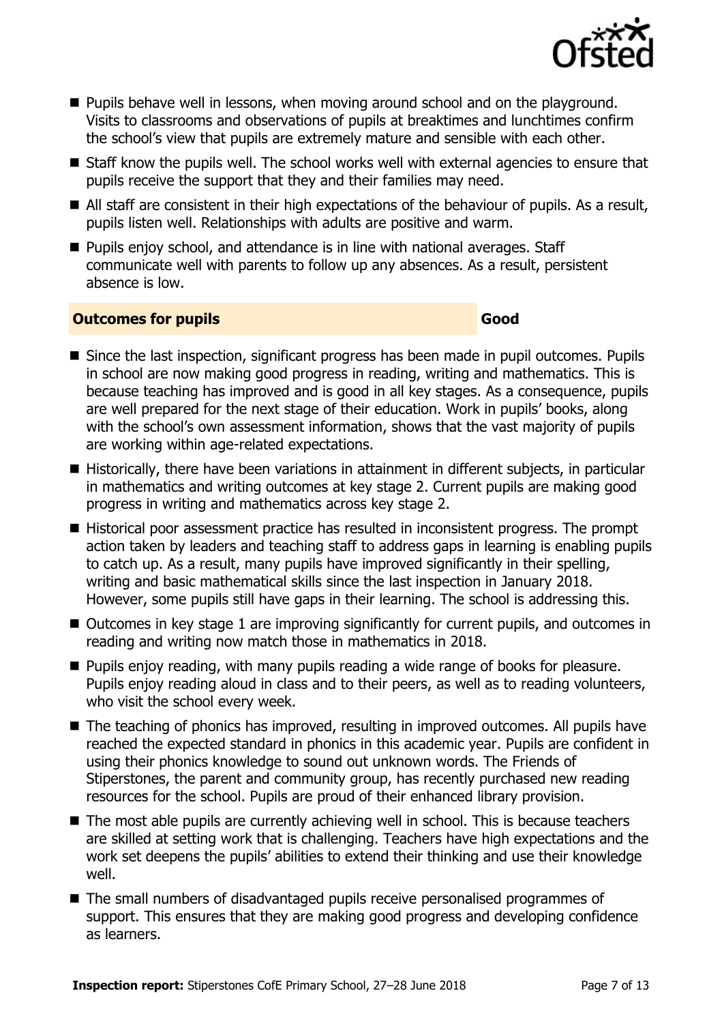

- **Pupils behave well in lessons, when moving around school and on the playground.** Visits to classrooms and observations of pupils at breaktimes and lunchtimes confirm the school's view that pupils are extremely mature and sensible with each other.
- Staff know the pupils well. The school works well with external agencies to ensure that pupils receive the support that they and their families may need.
- All staff are consistent in their high expectations of the behaviour of pupils. As a result, pupils listen well. Relationships with adults are positive and warm.
- **Pupils enjoy school, and attendance is in line with national averages. Staff** communicate well with parents to follow up any absences. As a result, persistent absence is low.

#### **Outcomes for pupils Good**

- Since the last inspection, significant progress has been made in pupil outcomes. Pupils in school are now making good progress in reading, writing and mathematics. This is because teaching has improved and is good in all key stages. As a consequence, pupils are well prepared for the next stage of their education. Work in pupils' books, along with the school's own assessment information, shows that the vast majority of pupils are working within age-related expectations.
- Historically, there have been variations in attainment in different subjects, in particular in mathematics and writing outcomes at key stage 2. Current pupils are making good progress in writing and mathematics across key stage 2.
- Historical poor assessment practice has resulted in inconsistent progress. The prompt action taken by leaders and teaching staff to address gaps in learning is enabling pupils to catch up. As a result, many pupils have improved significantly in their spelling, writing and basic mathematical skills since the last inspection in January 2018. However, some pupils still have gaps in their learning. The school is addressing this.
- Outcomes in key stage 1 are improving significantly for current pupils, and outcomes in reading and writing now match those in mathematics in 2018.
- **Pupils enjoy reading, with many pupils reading a wide range of books for pleasure.** Pupils enjoy reading aloud in class and to their peers, as well as to reading volunteers, who visit the school every week.
- The teaching of phonics has improved, resulting in improved outcomes. All pupils have reached the expected standard in phonics in this academic year. Pupils are confident in using their phonics knowledge to sound out unknown words. The Friends of Stiperstones, the parent and community group, has recently purchased new reading resources for the school. Pupils are proud of their enhanced library provision.
- The most able pupils are currently achieving well in school. This is because teachers are skilled at setting work that is challenging. Teachers have high expectations and the work set deepens the pupils' abilities to extend their thinking and use their knowledge well.
- The small numbers of disadvantaged pupils receive personalised programmes of support. This ensures that they are making good progress and developing confidence as learners.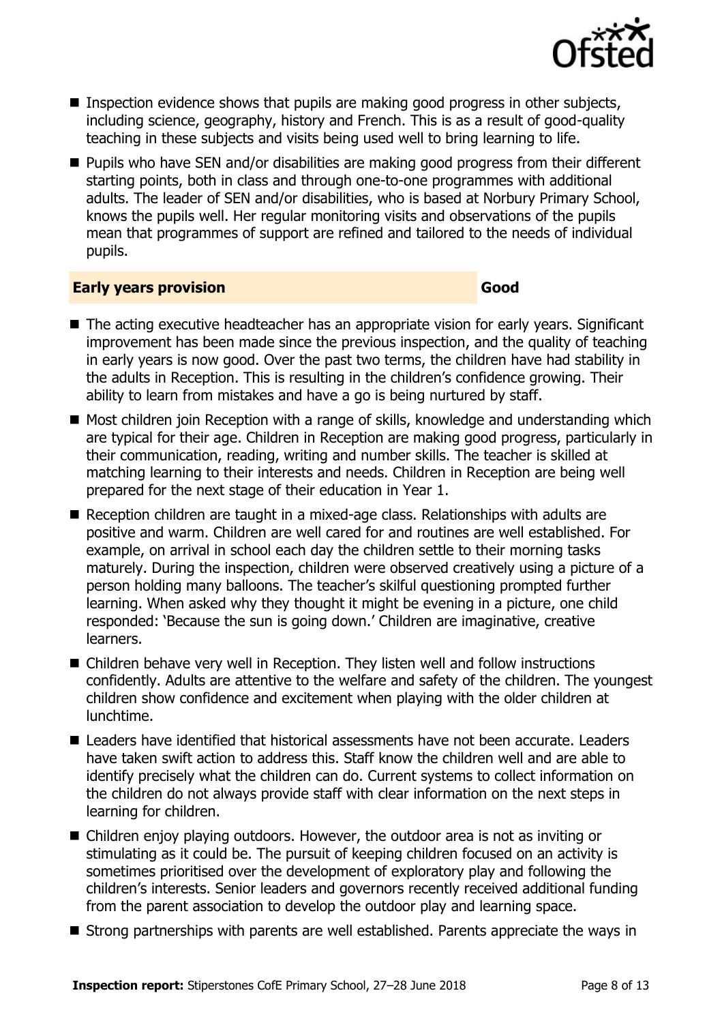

- **Inspection evidence shows that pupils are making good progress in other subjects,** including science, geography, history and French. This is as a result of good-quality teaching in these subjects and visits being used well to bring learning to life.
- Pupils who have SEN and/or disabilities are making good progress from their different starting points, both in class and through one-to-one programmes with additional adults. The leader of SEN and/or disabilities, who is based at Norbury Primary School, knows the pupils well. Her regular monitoring visits and observations of the pupils mean that programmes of support are refined and tailored to the needs of individual pupils.

#### **Early years provision Good Good**

- The acting executive headteacher has an appropriate vision for early years. Significant improvement has been made since the previous inspection, and the quality of teaching in early years is now good. Over the past two terms, the children have had stability in the adults in Reception. This is resulting in the children's confidence growing. Their ability to learn from mistakes and have a go is being nurtured by staff.
- Most children join Reception with a range of skills, knowledge and understanding which are typical for their age. Children in Reception are making good progress, particularly in their communication, reading, writing and number skills. The teacher is skilled at matching learning to their interests and needs. Children in Reception are being well prepared for the next stage of their education in Year 1.
- Reception children are taught in a mixed-age class. Relationships with adults are positive and warm. Children are well cared for and routines are well established. For example, on arrival in school each day the children settle to their morning tasks maturely. During the inspection, children were observed creatively using a picture of a person holding many balloons. The teacher's skilful questioning prompted further learning. When asked why they thought it might be evening in a picture, one child responded: 'Because the sun is going down.' Children are imaginative, creative learners.
- Children behave very well in Reception. They listen well and follow instructions confidently. Adults are attentive to the welfare and safety of the children. The youngest children show confidence and excitement when playing with the older children at lunchtime.
- $\blacksquare$  Leaders have identified that historical assessments have not been accurate. Leaders have taken swift action to address this. Staff know the children well and are able to identify precisely what the children can do. Current systems to collect information on the children do not always provide staff with clear information on the next steps in learning for children.
- Children enjoy playing outdoors. However, the outdoor area is not as inviting or stimulating as it could be. The pursuit of keeping children focused on an activity is sometimes prioritised over the development of exploratory play and following the children's interests. Senior leaders and governors recently received additional funding from the parent association to develop the outdoor play and learning space.
- Strong partnerships with parents are well established. Parents appreciate the ways in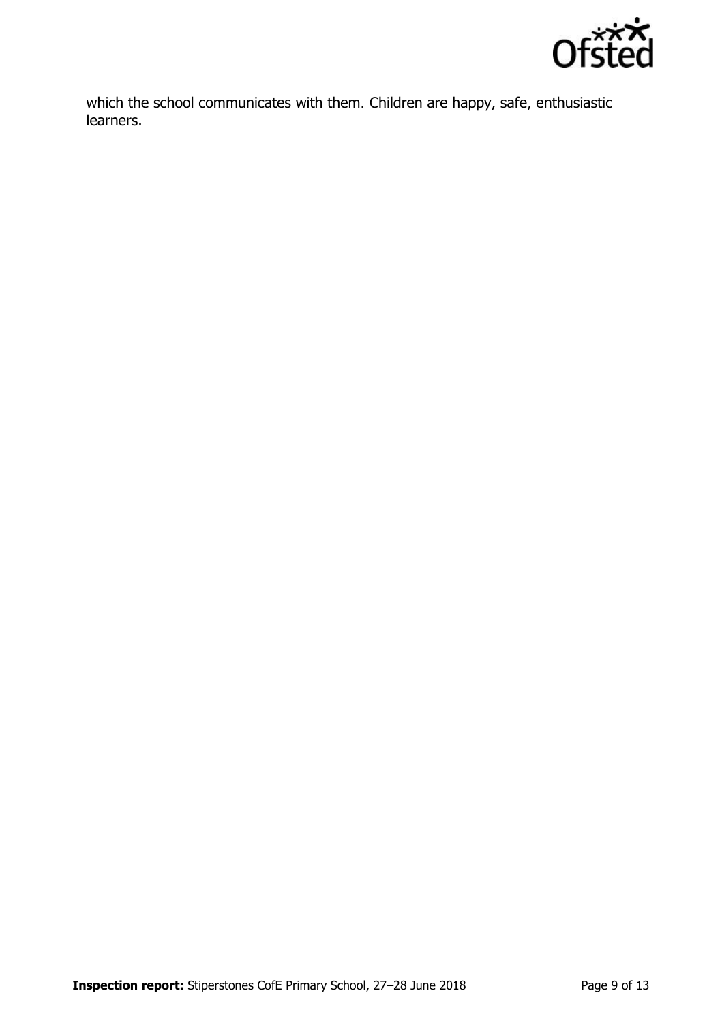

which the school communicates with them. Children are happy, safe, enthusiastic learners.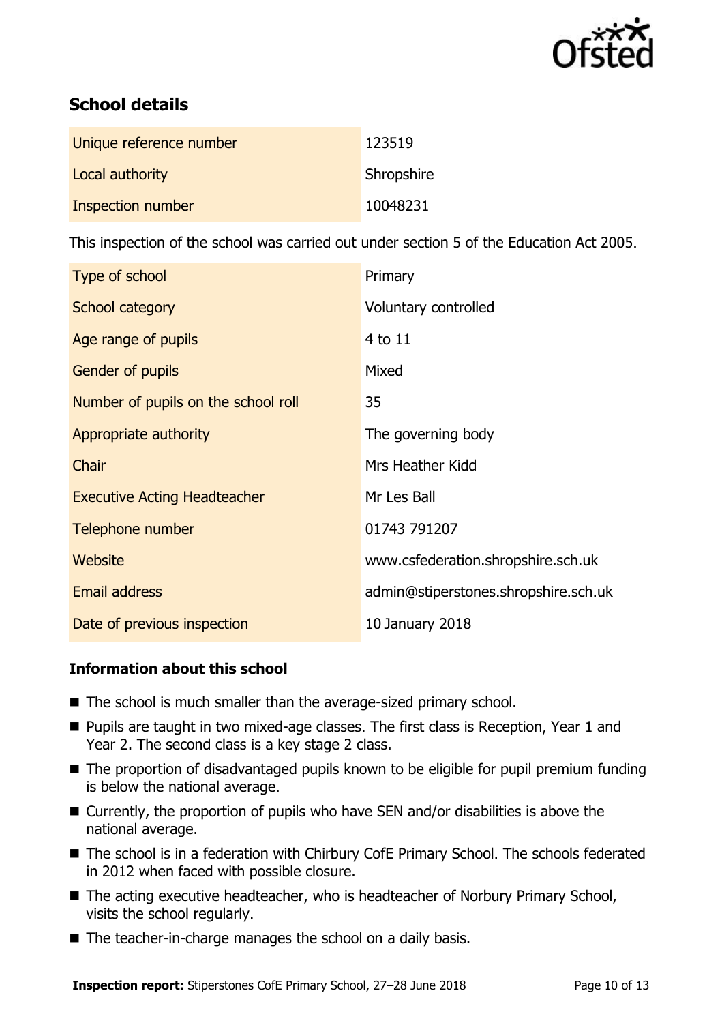

# **School details**

| Unique reference number | 123519     |
|-------------------------|------------|
| Local authority         | Shropshire |
| Inspection number       | 10048231   |

This inspection of the school was carried out under section 5 of the Education Act 2005.

| Type of school                      | Primary                              |
|-------------------------------------|--------------------------------------|
| School category                     | Voluntary controlled                 |
| Age range of pupils                 | 4 to 11                              |
| <b>Gender of pupils</b>             | Mixed                                |
| Number of pupils on the school roll | 35                                   |
| Appropriate authority               | The governing body                   |
| Chair                               | Mrs Heather Kidd                     |
| <b>Executive Acting Headteacher</b> | Mr Les Ball                          |
| Telephone number                    | 01743 791207                         |
| Website                             | www.csfederation.shropshire.sch.uk   |
| <b>Email address</b>                | admin@stiperstones.shropshire.sch.uk |
| Date of previous inspection         | 10 January 2018                      |

### **Information about this school**

- The school is much smaller than the average-sized primary school.
- **Pupils are taught in two mixed-age classes. The first class is Reception, Year 1 and** Year 2. The second class is a key stage 2 class.
- The proportion of disadvantaged pupils known to be eligible for pupil premium funding is below the national average.
- Currently, the proportion of pupils who have SEN and/or disabilities is above the national average.
- The school is in a federation with Chirbury CofE Primary School. The schools federated in 2012 when faced with possible closure.
- The acting executive headteacher, who is headteacher of Norbury Primary School, visits the school regularly.
- The teacher-in-charge manages the school on a daily basis.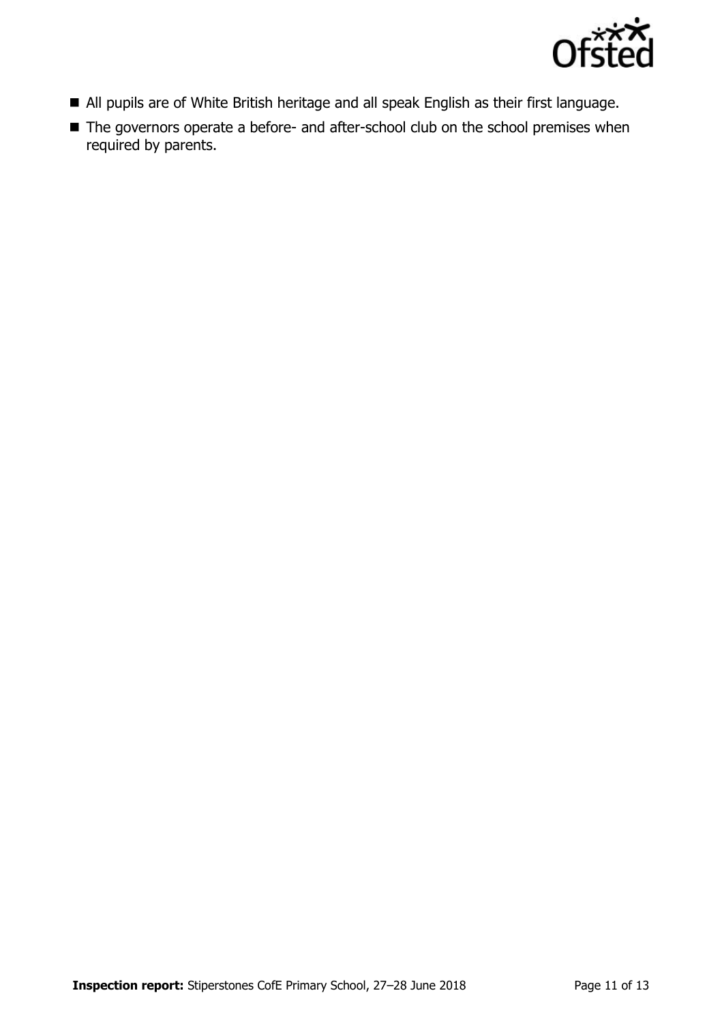

- All pupils are of White British heritage and all speak English as their first language.
- The governors operate a before- and after-school club on the school premises when required by parents.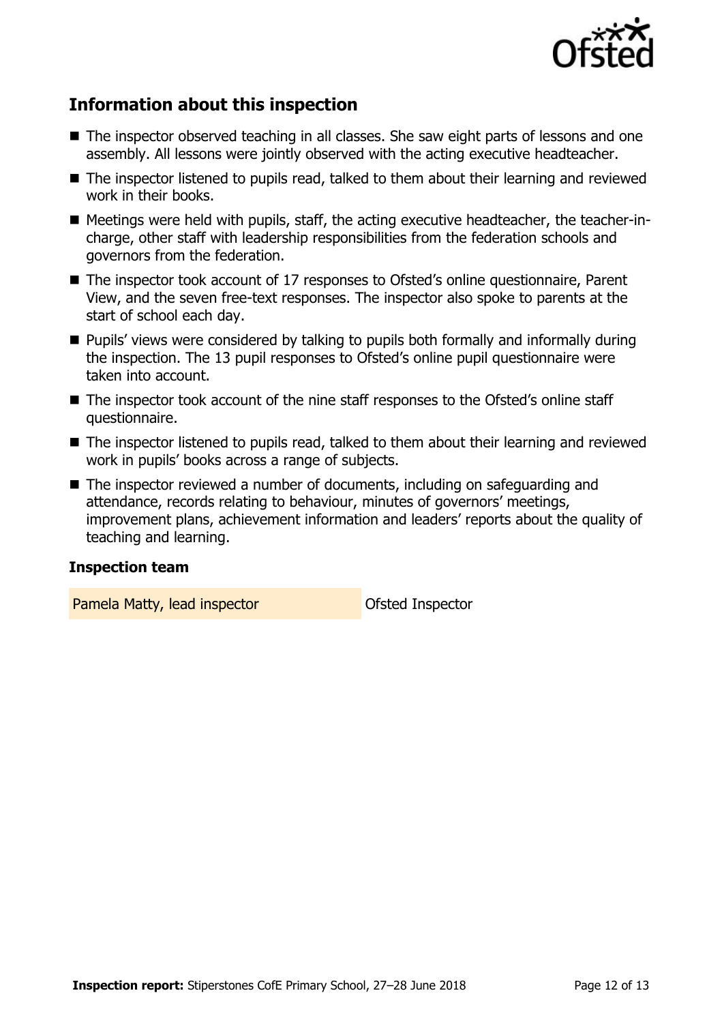

# **Information about this inspection**

- The inspector observed teaching in all classes. She saw eight parts of lessons and one assembly. All lessons were jointly observed with the acting executive headteacher.
- The inspector listened to pupils read, talked to them about their learning and reviewed work in their books.
- Meetings were held with pupils, staff, the acting executive headteacher, the teacher-incharge, other staff with leadership responsibilities from the federation schools and governors from the federation.
- The inspector took account of 17 responses to Ofsted's online questionnaire, Parent View, and the seven free-text responses. The inspector also spoke to parents at the start of school each day.
- **Pupils'** views were considered by talking to pupils both formally and informally during the inspection. The 13 pupil responses to Ofsted's online pupil questionnaire were taken into account.
- The inspector took account of the nine staff responses to the Ofsted's online staff questionnaire.
- The inspector listened to pupils read, talked to them about their learning and reviewed work in pupils' books across a range of subjects.
- The inspector reviewed a number of documents, including on safeguarding and attendance, records relating to behaviour, minutes of governors' meetings, improvement plans, achievement information and leaders' reports about the quality of teaching and learning.

#### **Inspection team**

Pamela Matty, lead inspector **Constanting Constanting Pamela Matty**, lead inspector